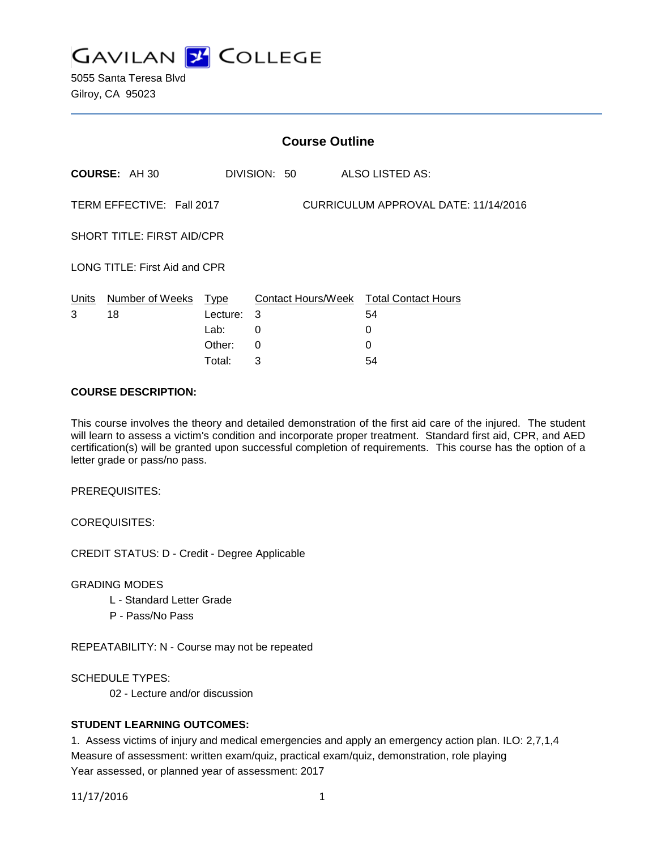

5055 Santa Teresa Blvd Gilroy, CA 95023

|                                                                   | <b>Course Outline</b>      |          |   |              |  |                                        |  |
|-------------------------------------------------------------------|----------------------------|----------|---|--------------|--|----------------------------------------|--|
|                                                                   | <b>COURSE: AH 30</b>       |          |   | DIVISION: 50 |  | ALSO LISTED AS:                        |  |
| TERM EFFECTIVE: Fall 2017<br>CURRICULUM APPROVAL DATE: 11/14/2016 |                            |          |   |              |  |                                        |  |
| <b>SHORT TITLE: FIRST AID/CPR</b>                                 |                            |          |   |              |  |                                        |  |
| LONG TITLE: First Aid and CPR                                     |                            |          |   |              |  |                                        |  |
|                                                                   | Units Number of Weeks Type |          |   |              |  | Contact Hours/Week Total Contact Hours |  |
| 3                                                                 | 18                         | Lecture: | 3 |              |  | 54                                     |  |
|                                                                   |                            | Lab:     | 0 |              |  | 0                                      |  |
|                                                                   |                            | Other:   | 0 |              |  | $\Omega$                               |  |
|                                                                   |                            | Total:   | 3 |              |  | 54                                     |  |

### **COURSE DESCRIPTION:**

This course involves the theory and detailed demonstration of the first aid care of the injured. The student will learn to assess a victim's condition and incorporate proper treatment. Standard first aid, CPR, and AED certification(s) will be granted upon successful completion of requirements. This course has the option of a letter grade or pass/no pass.

PREREQUISITES:

COREQUISITES:

CREDIT STATUS: D - Credit - Degree Applicable

GRADING MODES

- L Standard Letter Grade
- P Pass/No Pass

REPEATABILITY: N - Course may not be repeated

SCHEDULE TYPES:

02 - Lecture and/or discussion

# **STUDENT LEARNING OUTCOMES:**

1. Assess victims of injury and medical emergencies and apply an emergency action plan. ILO: 2,7,1,4 Measure of assessment: written exam/quiz, practical exam/quiz, demonstration, role playing Year assessed, or planned year of assessment: 2017

11/17/2016 1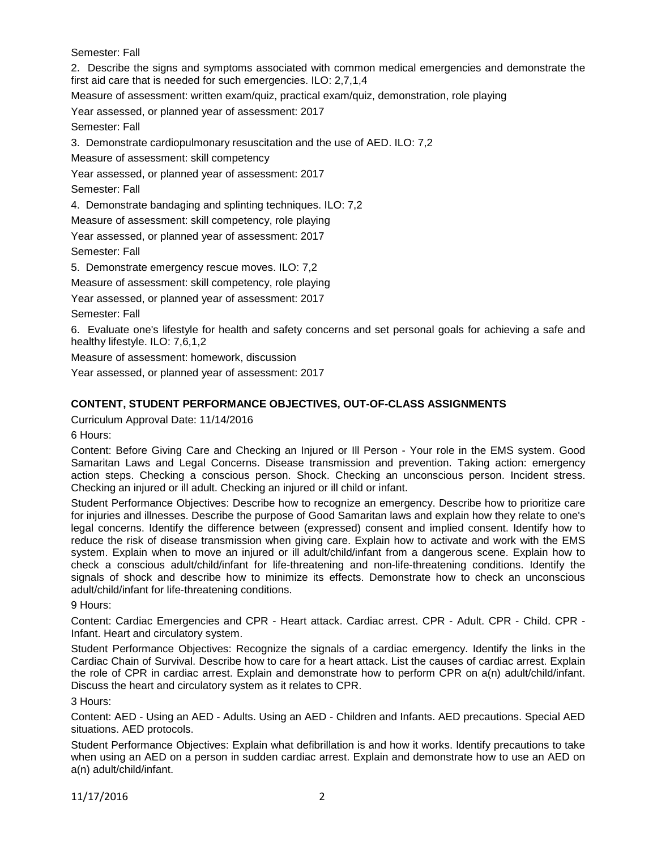Semester: Fall

2. Describe the signs and symptoms associated with common medical emergencies and demonstrate the first aid care that is needed for such emergencies. ILO: 2,7,1,4

Measure of assessment: written exam/quiz, practical exam/quiz, demonstration, role playing

Year assessed, or planned year of assessment: 2017

Semester: Fall

3. Demonstrate cardiopulmonary resuscitation and the use of AED. ILO: 7,2

Measure of assessment: skill competency

Year assessed, or planned year of assessment: 2017

Semester: Fall

4. Demonstrate bandaging and splinting techniques. ILO: 7,2

Measure of assessment: skill competency, role playing

Year assessed, or planned year of assessment: 2017

Semester: Fall

5. Demonstrate emergency rescue moves. ILO: 7,2

Measure of assessment: skill competency, role playing

Year assessed, or planned year of assessment: 2017

Semester: Fall

6. Evaluate one's lifestyle for health and safety concerns and set personal goals for achieving a safe and healthy lifestyle. ILO: 7,6,1,2

Measure of assessment: homework, discussion

Year assessed, or planned year of assessment: 2017

# **CONTENT, STUDENT PERFORMANCE OBJECTIVES, OUT-OF-CLASS ASSIGNMENTS**

Curriculum Approval Date: 11/14/2016

6 Hours:

Content: Before Giving Care and Checking an Injured or Ill Person - Your role in the EMS system. Good Samaritan Laws and Legal Concerns. Disease transmission and prevention. Taking action: emergency action steps. Checking a conscious person. Shock. Checking an unconscious person. Incident stress. Checking an injured or ill adult. Checking an injured or ill child or infant.

Student Performance Objectives: Describe how to recognize an emergency. Describe how to prioritize care for injuries and illnesses. Describe the purpose of Good Samaritan laws and explain how they relate to one's legal concerns. Identify the difference between (expressed) consent and implied consent. Identify how to reduce the risk of disease transmission when giving care. Explain how to activate and work with the EMS system. Explain when to move an injured or ill adult/child/infant from a dangerous scene. Explain how to check a conscious adult/child/infant for life-threatening and non-life-threatening conditions. Identify the signals of shock and describe how to minimize its effects. Demonstrate how to check an unconscious adult/child/infant for life-threatening conditions.

9 Hours:

Content: Cardiac Emergencies and CPR - Heart attack. Cardiac arrest. CPR - Adult. CPR - Child. CPR - Infant. Heart and circulatory system.

Student Performance Objectives: Recognize the signals of a cardiac emergency. Identify the links in the Cardiac Chain of Survival. Describe how to care for a heart attack. List the causes of cardiac arrest. Explain the role of CPR in cardiac arrest. Explain and demonstrate how to perform CPR on a(n) adult/child/infant. Discuss the heart and circulatory system as it relates to CPR.

3 Hours:

Content: AED - Using an AED - Adults. Using an AED - Children and Infants. AED precautions. Special AED situations. AED protocols.

Student Performance Objectives: Explain what defibrillation is and how it works. Identify precautions to take when using an AED on a person in sudden cardiac arrest. Explain and demonstrate how to use an AED on a(n) adult/child/infant.

11/17/2016 2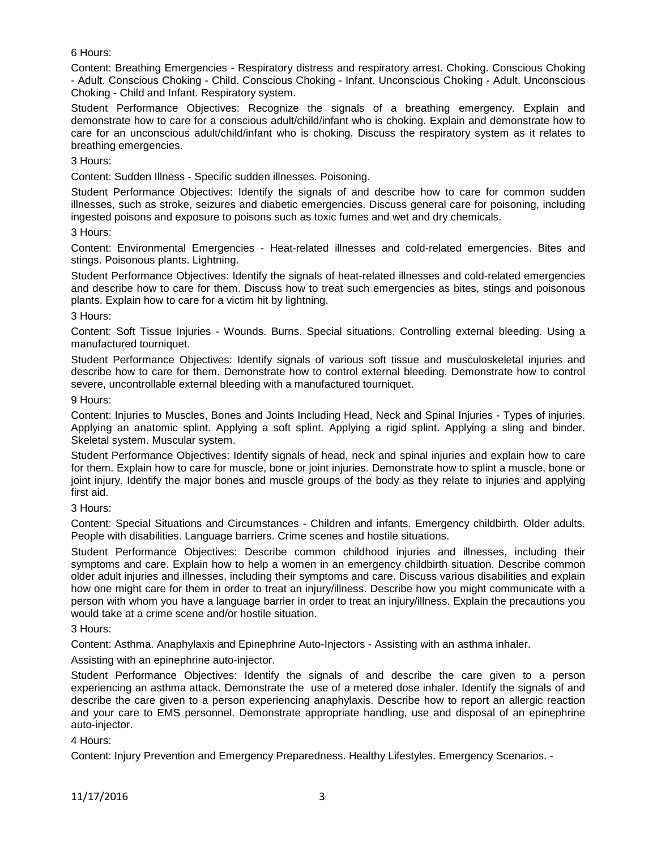# 6 Hours:

Content: Breathing Emergencies - Respiratory distress and respiratory arrest. Choking. Conscious Choking - Adult. Conscious Choking - Child. Conscious Choking - Infant. Unconscious Choking - Adult. Unconscious Choking - Child and Infant. Respiratory system.

Student Performance Objectives: Recognize the signals of a breathing emergency. Explain and demonstrate how to care for a conscious adult/child/infant who is choking. Explain and demonstrate how to care for an unconscious adult/child/infant who is choking. Discuss the respiratory system as it relates to breathing emergencies.

### 3 Hours:

Content: Sudden Illness - Specific sudden illnesses. Poisoning.

Student Performance Objectives: Identify the signals of and describe how to care for common sudden illnesses, such as stroke, seizures and diabetic emergencies. Discuss general care for poisoning, including ingested poisons and exposure to poisons such as toxic fumes and wet and dry chemicals.

### 3 Hours:

Content: Environmental Emergencies - Heat-related illnesses and cold-related emergencies. Bites and stings. Poisonous plants. Lightning.

Student Performance Objectives: Identify the signals of heat-related illnesses and cold-related emergencies and describe how to care for them. Discuss how to treat such emergencies as bites, stings and poisonous plants. Explain how to care for a victim hit by lightning.

### 3 Hours:

Content: Soft Tissue Injuries - Wounds. Burns. Special situations. Controlling external bleeding. Using a manufactured tourniquet.

Student Performance Objectives: Identify signals of various soft tissue and musculoskeletal injuries and describe how to care for them. Demonstrate how to control external bleeding. Demonstrate how to control severe, uncontrollable external bleeding with a manufactured tourniquet.

### 9 Hours:

Content: Injuries to Muscles, Bones and Joints Including Head, Neck and Spinal Injuries - Types of injuries. Applying an anatomic splint. Applying a soft splint. Applying a rigid splint. Applying a sling and binder. Skeletal system. Muscular system.

Student Performance Objectives: Identify signals of head, neck and spinal injuries and explain how to care for them. Explain how to care for muscle, bone or joint injuries. Demonstrate how to splint a muscle, bone or joint injury. Identify the major bones and muscle groups of the body as they relate to injuries and applying first aid.

3 Hours:

Content: Special Situations and Circumstances - Children and infants. Emergency childbirth. Older adults. People with disabilities. Language barriers. Crime scenes and hostile situations.

Student Performance Objectives: Describe common childhood injuries and illnesses, including their symptoms and care. Explain how to help a women in an emergency childbirth situation. Describe common older adult injuries and illnesses, including their symptoms and care. Discuss various disabilities and explain how one might care for them in order to treat an injury/illness. Describe how you might communicate with a person with whom you have a language barrier in order to treat an injury/illness. Explain the precautions you would take at a crime scene and/or hostile situation.

3 Hours:

Content: Asthma. Anaphylaxis and Epinephrine Auto-Injectors - Assisting with an asthma inhaler.

Assisting with an epinephrine auto-injector.

Student Performance Objectives: Identify the signals of and describe the care given to a person experiencing an asthma attack. Demonstrate the use of a metered dose inhaler. Identify the signals of and describe the care given to a person experiencing anaphylaxis. Describe how to report an allergic reaction and your care to EMS personnel. Demonstrate appropriate handling, use and disposal of an epinephrine auto-injector.

### 4 Hours:

Content: Injury Prevention and Emergency Preparedness. Healthy Lifestyles. Emergency Scenarios. -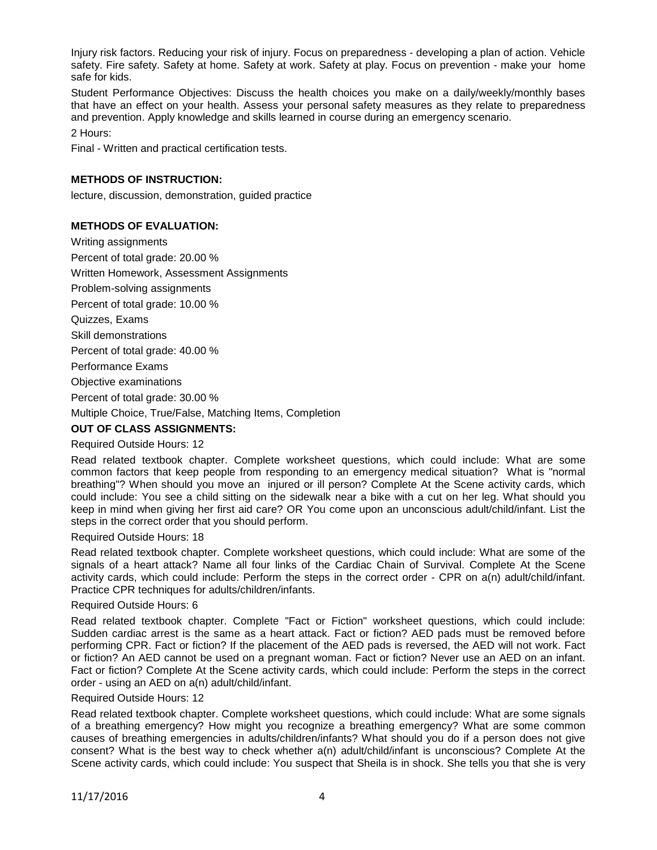Injury risk factors. Reducing your risk of injury. Focus on preparedness - developing a plan of action. Vehicle safety. Fire safety. Safety at home. Safety at work. Safety at play. Focus on prevention - make your home safe for kids.

Student Performance Objectives: Discuss the health choices you make on a daily/weekly/monthly bases that have an effect on your health. Assess your personal safety measures as they relate to preparedness and prevention. Apply knowledge and skills learned in course during an emergency scenario.

2 Hours:

Final - Written and practical certification tests.

# **METHODS OF INSTRUCTION:**

lecture, discussion, demonstration, guided practice

# **METHODS OF EVALUATION:**

Writing assignments Percent of total grade: 20.00 % Written Homework, Assessment Assignments Problem-solving assignments Percent of total grade: 10.00 % Quizzes, Exams Skill demonstrations Percent of total grade: 40.00 % Performance Exams Objective examinations Percent of total grade: 30.00 % Multiple Choice, True/False, Matching Items, Completion

# **OUT OF CLASS ASSIGNMENTS:**

# Required Outside Hours: 12

Read related textbook chapter. Complete worksheet questions, which could include: What are some common factors that keep people from responding to an emergency medical situation? What is "normal breathing"? When should you move an injured or ill person? Complete At the Scene activity cards, which could include: You see a child sitting on the sidewalk near a bike with a cut on her leg. What should you keep in mind when giving her first aid care? OR You come upon an unconscious adult/child/infant. List the steps in the correct order that you should perform.

### Required Outside Hours: 18

Read related textbook chapter. Complete worksheet questions, which could include: What are some of the signals of a heart attack? Name all four links of the Cardiac Chain of Survival. Complete At the Scene activity cards, which could include: Perform the steps in the correct order - CPR on a(n) adult/child/infant. Practice CPR techniques for adults/children/infants.

### Required Outside Hours: 6

Read related textbook chapter. Complete "Fact or Fiction" worksheet questions, which could include: Sudden cardiac arrest is the same as a heart attack. Fact or fiction? AED pads must be removed before performing CPR. Fact or fiction? If the placement of the AED pads is reversed, the AED will not work. Fact or fiction? An AED cannot be used on a pregnant woman. Fact or fiction? Never use an AED on an infant. Fact or fiction? Complete At the Scene activity cards, which could include: Perform the steps in the correct order - using an AED on a(n) adult/child/infant.

### Required Outside Hours: 12

Read related textbook chapter. Complete worksheet questions, which could include: What are some signals of a breathing emergency? How might you recognize a breathing emergency? What are some common causes of breathing emergencies in adults/children/infants? What should you do if a person does not give consent? What is the best way to check whether a(n) adult/child/infant is unconscious? Complete At the Scene activity cards, which could include: You suspect that Sheila is in shock. She tells you that she is very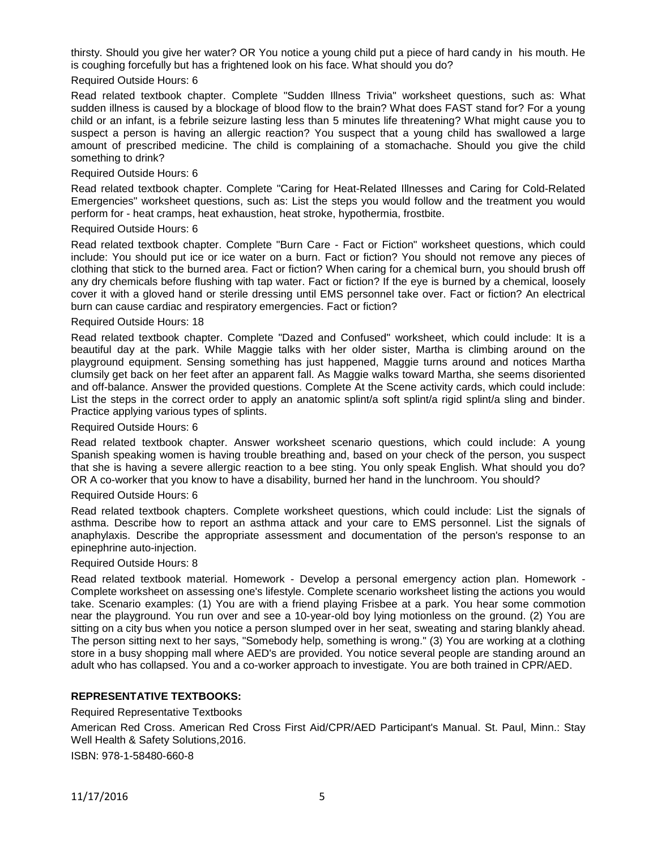thirsty. Should you give her water? OR You notice a young child put a piece of hard candy in his mouth. He is coughing forcefully but has a frightened look on his face. What should you do?

#### Required Outside Hours: 6

Read related textbook chapter. Complete "Sudden Illness Trivia" worksheet questions, such as: What sudden illness is caused by a blockage of blood flow to the brain? What does FAST stand for? For a young child or an infant, is a febrile seizure lasting less than 5 minutes life threatening? What might cause you to suspect a person is having an allergic reaction? You suspect that a young child has swallowed a large amount of prescribed medicine. The child is complaining of a stomachache. Should you give the child something to drink?

#### Required Outside Hours: 6

Read related textbook chapter. Complete "Caring for Heat-Related Illnesses and Caring for Cold-Related Emergencies" worksheet questions, such as: List the steps you would follow and the treatment you would perform for - heat cramps, heat exhaustion, heat stroke, hypothermia, frostbite.

#### Required Outside Hours: 6

Read related textbook chapter. Complete "Burn Care - Fact or Fiction" worksheet questions, which could include: You should put ice or ice water on a burn. Fact or fiction? You should not remove any pieces of clothing that stick to the burned area. Fact or fiction? When caring for a chemical burn, you should brush off any dry chemicals before flushing with tap water. Fact or fiction? If the eye is burned by a chemical, loosely cover it with a gloved hand or sterile dressing until EMS personnel take over. Fact or fiction? An electrical burn can cause cardiac and respiratory emergencies. Fact or fiction?

#### Required Outside Hours: 18

Read related textbook chapter. Complete "Dazed and Confused" worksheet, which could include: It is a beautiful day at the park. While Maggie talks with her older sister, Martha is climbing around on the playground equipment. Sensing something has just happened, Maggie turns around and notices Martha clumsily get back on her feet after an apparent fall. As Maggie walks toward Martha, she seems disoriented and off-balance. Answer the provided questions. Complete At the Scene activity cards, which could include: List the steps in the correct order to apply an anatomic splint/a soft splint/a rigid splint/a sling and binder. Practice applying various types of splints.

#### Required Outside Hours: 6

Read related textbook chapter. Answer worksheet scenario questions, which could include: A young Spanish speaking women is having trouble breathing and, based on your check of the person, you suspect that she is having a severe allergic reaction to a bee sting. You only speak English. What should you do? OR A co-worker that you know to have a disability, burned her hand in the lunchroom. You should?

#### Required Outside Hours: 6

Read related textbook chapters. Complete worksheet questions, which could include: List the signals of asthma. Describe how to report an asthma attack and your care to EMS personnel. List the signals of anaphylaxis. Describe the appropriate assessment and documentation of the person's response to an epinephrine auto-injection.

#### Required Outside Hours: 8

Read related textbook material. Homework - Develop a personal emergency action plan. Homework - Complete worksheet on assessing one's lifestyle. Complete scenario worksheet listing the actions you would take. Scenario examples: (1) You are with a friend playing Frisbee at a park. You hear some commotion near the playground. You run over and see a 10-year-old boy lying motionless on the ground. (2) You are sitting on a city bus when you notice a person slumped over in her seat, sweating and staring blankly ahead. The person sitting next to her says, "Somebody help, something is wrong." (3) You are working at a clothing store in a busy shopping mall where AED's are provided. You notice several people are standing around an adult who has collapsed. You and a co-worker approach to investigate. You are both trained in CPR/AED.

### **REPRESENTATIVE TEXTBOOKS:**

Required Representative Textbooks

American Red Cross. American Red Cross First Aid/CPR/AED Participant's Manual. St. Paul, Minn.: Stay Well Health & Safety Solutions,2016.

ISBN: 978-1-58480-660-8